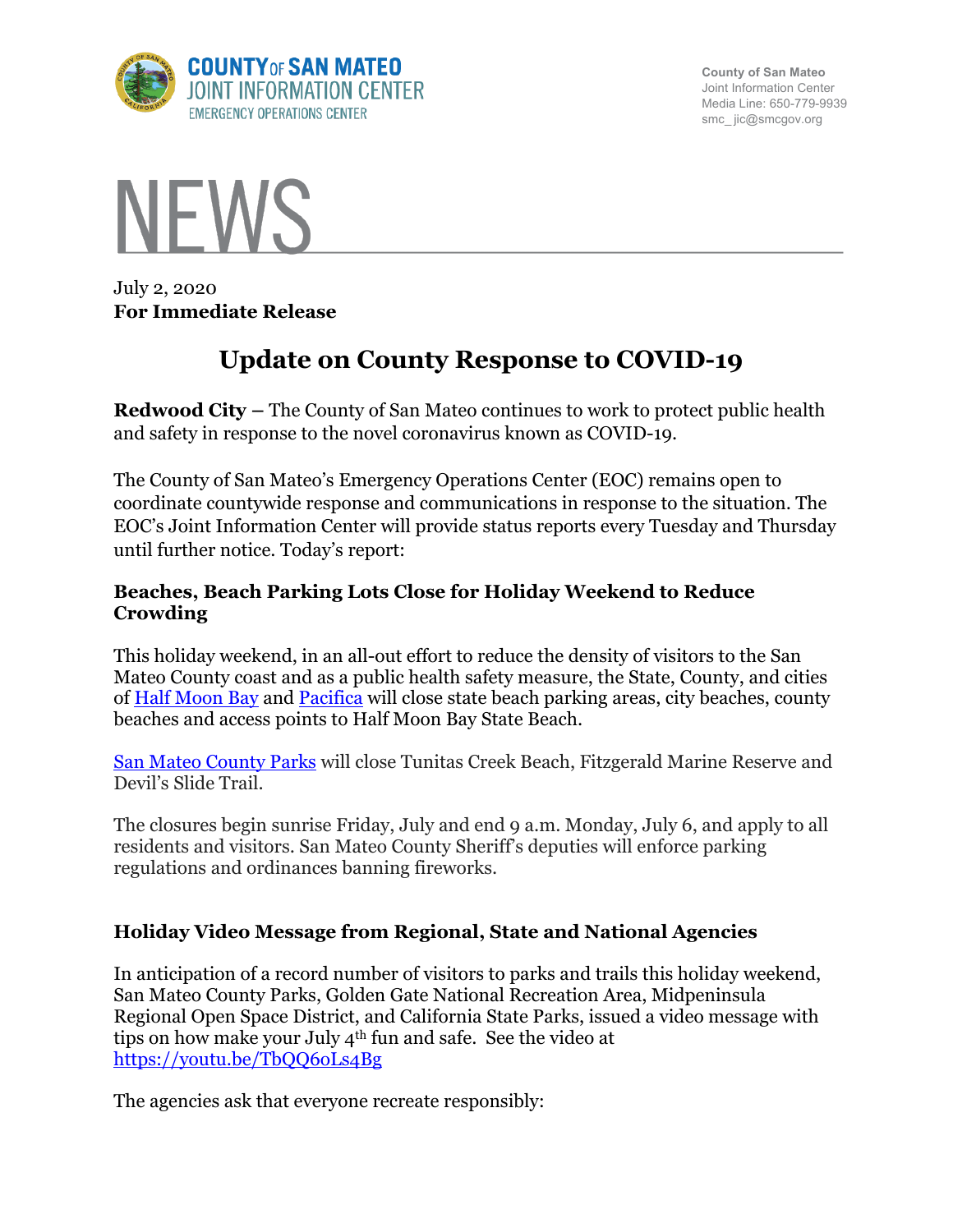

**County of San Mateo** Joint Information Center Media Line: 650-779-9939 smc\_ jic@smcgov.org



July 2, 2020 **For Immediate Release**

# **Update on County Response to COVID-19**

**Redwood City –** The County of San Mateo continues to work to protect public health and safety in response to the novel coronavirus known as COVID-19.

The County of San Mateo's Emergency Operations Center (EOC) remains open to coordinate countywide response and communications in response to the situation. The EOC's Joint Information Center will provide status reports every Tuesday and Thursday until further notice. Today's report:

### **Beaches, Beach Parking Lots Close for Holiday Weekend to Reduce Crowding**

This holiday weekend, in an all-out effort to reduce the density of visitors to the San Mateo County coast and as a public health safety measure, the State, County, and cities of Half Moon Bay and Pacifica will close state beach parking areas, city beaches, county beaches and access points to Half Moon Bay State Beach.

San Mateo County Parks will close Tunitas Creek Beach, Fitzgerald Marine Reserve and Devil's Slide Trail.

The closures begin sunrise Friday, July and end 9 a.m. Monday, July 6, and apply to all residents and visitors. San Mateo County Sheriff's deputies will enforce parking regulations and ordinances banning fireworks.

# **Holiday Video Message from Regional, State and National Agencies**

In anticipation of a record number of visitors to parks and trails this holiday weekend, San Mateo County Parks, Golden Gate National Recreation Area, Midpeninsula Regional Open Space District, and California State Parks, issued a video message with tips on how make your July 4th fun and safe. See the video at https://youtu.be/TbQQ6oLs4Bg

The agencies ask that everyone recreate responsibly: